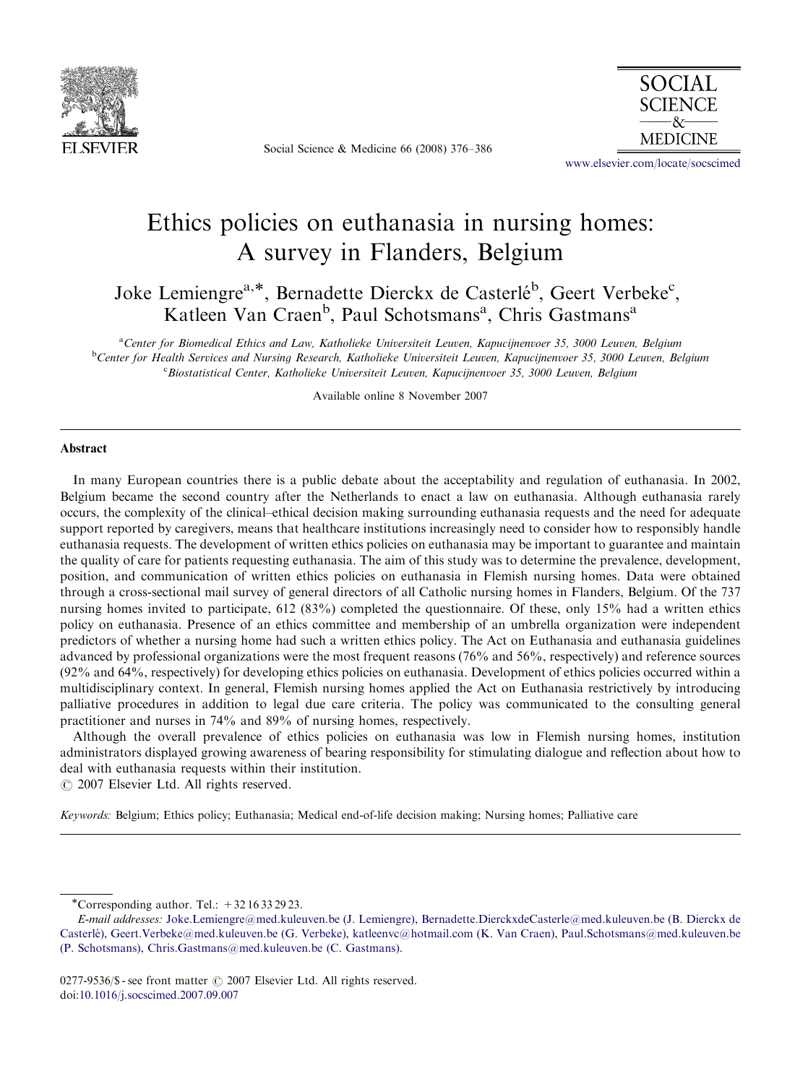

Social Science & Medicine 66 (2008) 376–386



<www.elsevier.com/locate/socscimed>

## Ethics policies on euthanasia in nursing homes: A survey in Flanders, Belgium

Joke Lemiengre<sup>a,\*</sup>, Bernadette Dierckx de Casterlé<sup>b</sup>, Geert Verbeke<sup>c</sup>, Katleen Van Craen<sup>b</sup>, Paul Schotsmans<sup>a</sup>, Chris Gastmans<sup>a</sup>

a Center for Biomedical Ethics and Law, Katholieke Universiteit Leuven, Kapucijnenvoer 35, 3000 Leuven, Belgium **bCenter for Health Services and Nursing Research, Katholieke Universiteit Leuven, Kapucijnenvoer 35, 3000 Leuven, Belgium** <sup>c</sup> Biostatistical Center, Katholieke Universiteit Leuven, Kapucijnenvoer 35, 3000 Leuven, Belgium

Available online 8 November 2007

#### Abstract

In many European countries there is a public debate about the acceptability and regulation of euthanasia. In 2002, Belgium became the second country after the Netherlands to enact a law on euthanasia. Although euthanasia rarely occurs, the complexity of the clinical–ethical decision making surrounding euthanasia requests and the need for adequate support reported by caregivers, means that healthcare institutions increasingly need to consider how to responsibly handle euthanasia requests. The development of written ethics policies on euthanasia may be important to guarantee and maintain the quality of care for patients requesting euthanasia. The aim of this study was to determine the prevalence, development, position, and communication of written ethics policies on euthanasia in Flemish nursing homes. Data were obtained through a cross-sectional mail survey of general directors of all Catholic nursing homes in Flanders, Belgium. Of the 737 nursing homes invited to participate, 612 (83%) completed the questionnaire. Of these, only 15% had a written ethics policy on euthanasia. Presence of an ethics committee and membership of an umbrella organization were independent predictors of whether a nursing home had such a written ethics policy. The Act on Euthanasia and euthanasia guidelines advanced by professional organizations were the most frequent reasons (76% and 56%, respectively) and reference sources (92% and 64%, respectively) for developing ethics policies on euthanasia. Development of ethics policies occurred within a multidisciplinary context. In general, Flemish nursing homes applied the Act on Euthanasia restrictively by introducing palliative procedures in addition to legal due care criteria. The policy was communicated to the consulting general practitioner and nurses in 74% and 89% of nursing homes, respectively.

Although the overall prevalence of ethics policies on euthanasia was low in Flemish nursing homes, institution administrators displayed growing awareness of bearing responsibility for stimulating dialogue and reflection about how to deal with euthanasia requests within their institution.

 $O$  2007 Elsevier Ltd. All rights reserved.

Keywords: Belgium; Ethics policy; Euthanasia; Medical end-of-life decision making; Nursing homes; Palliative care

<sup>\*</sup>Corresponding author. Tel.:  $+3216332923$ .

E-mail addresses: [Joke.Lemiengre@med.kuleuven.be \(J. Lemiengre\)](mailto:Joke.Lemiengre@med.kuleuven.be), [Bernadette.DierckxdeCasterle@med.kuleuven.be \(B. Dierckx de](mailto:Bernadette.DierckxdeCasterle@med.kuleuven.be) [Casterle´\)](mailto:Bernadette.DierckxdeCasterle@med.kuleuven.be), [Geert.Verbeke@med.kuleuven.be \(G. Verbeke\)](mailto:Geert.Verbeke@med.kuleuven.be), [katleenvc@hotmail.com \(K. Van Craen\),](mailto:katleenvc@hotmail.com) [Paul.Schotsmans@med.kuleuven.be](mailto:Paul.Schotsmans@med.kuleuven.be) [\(P. Schotsmans\)](mailto:Paul.Schotsmans@med.kuleuven.be), [Chris.Gastmans@med.kuleuven.be \(C. Gastmans\).](mailto:Chris.Gastmans@med.kuleuven.be)

<sup>0277-9536/\$ -</sup> see front matter  $\odot$  2007 Elsevier Ltd. All rights reserved. doi[:10.1016/j.socscimed.2007.09.007](dx.doi.org/10.1016/j.socscimed.2007.09.007)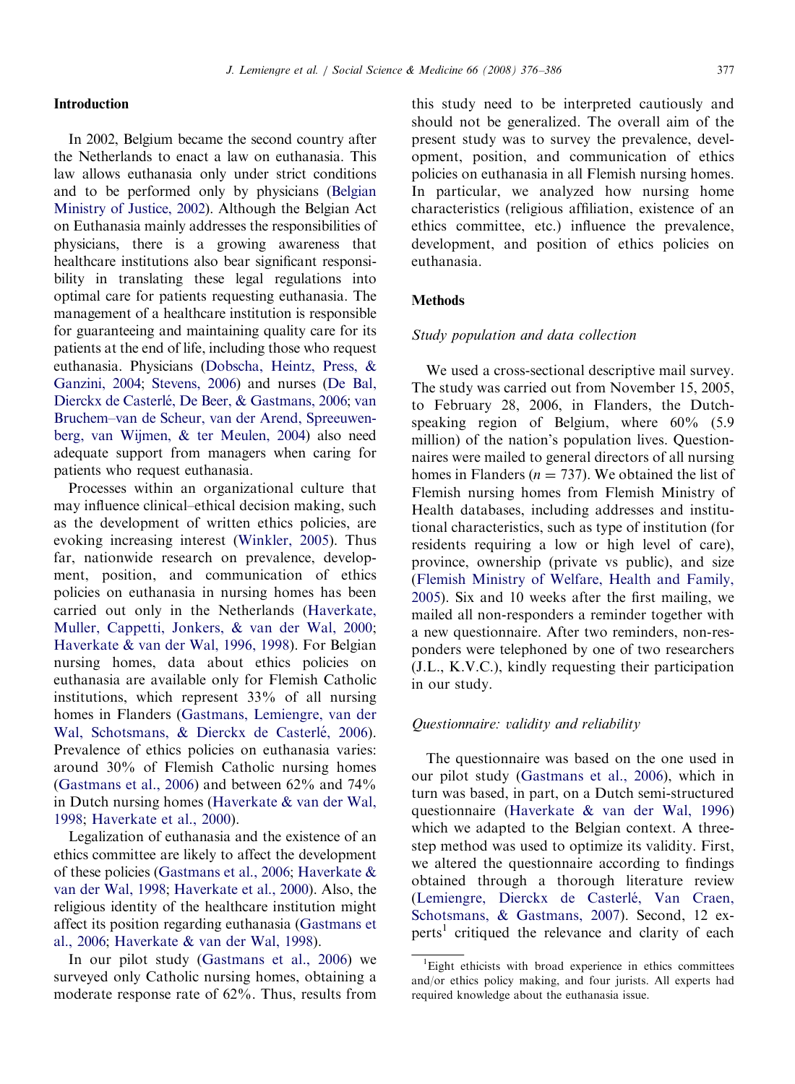In 2002, Belgium became the second country after the Netherlands to enact a law on euthanasia. This law allows euthanasia only under strict conditions and to be performed only by physicians [\(Belgian](#page--1-0) [Ministry of Justice, 2002](#page--1-0)). Although the Belgian Act on Euthanasia mainly addresses the responsibilities of physicians, there is a growing awareness that healthcare institutions also bear significant responsibility in translating these legal regulations into optimal care for patients requesting euthanasia. The management of a healthcare institution is responsible for guaranteeing and maintaining quality care for its patients at the end of life, including those who request

Introduction

euthanasia. Physicians ([Dobscha, Heintz, Press,](#page--1-0) & [Ganzini, 2004;](#page--1-0) [Stevens, 2006\)](#page--1-0) and nurses [\(De Bal,](#page--1-0) Dierckx de Casterlé, De Beer, [& Gastmans, 2006;](#page--1-0) [van](#page--1-0) [Bruchem–van de Scheur, van der Arend, Spreeuwen](#page--1-0)[berg, van Wijmen,](#page--1-0) [& ter Meulen, 2004](#page--1-0)) also need adequate support from managers when caring for patients who request euthanasia.

Processes within an organizational culture that may influence clinical–ethical decision making, such as the development of written ethics policies, are evoking increasing interest [\(Winkler, 2005](#page--1-0)). Thus far, nationwide research on prevalence, development, position, and communication of ethics policies on euthanasia in nursing homes has been carried out only in the Netherlands ([Haverkate,](#page--1-0) [Muller, Cappetti, Jonkers, & van der Wal, 2000](#page--1-0); [Haverkate](#page--1-0) & [van der Wal, 1996, 1998](#page--1-0)). For Belgian nursing homes, data about ethics policies on euthanasia are available only for Flemish Catholic institutions, which represent 33% of all nursing homes in Flanders [\(Gastmans, Lemiengre, van der](#page--1-0) [Wal, Schotsmans,](#page--1-0) & Dierckx de Casterlé, 2006). Prevalence of ethics policies on euthanasia varies: around 30% of Flemish Catholic nursing homes [\(Gastmans et al., 2006\)](#page--1-0) and between 62% and 74% in Dutch nursing homes [\(Haverkate & van der Wal,](#page--1-0) [1998;](#page--1-0) [Haverkate et al., 2000](#page--1-0)).

Legalization of euthanasia and the existence of an ethics committee are likely to affect the development of these policies ([Gastmans et al., 2006;](#page--1-0) [Haverkate](#page--1-0) & [van der Wal, 1998;](#page--1-0) [Haverkate et al., 2000](#page--1-0)). Also, the religious identity of the healthcare institution might affect its position regarding euthanasia [\(Gastmans et](#page--1-0) [al., 2006](#page--1-0); [Haverkate](#page--1-0) [& van der Wal, 1998](#page--1-0)).

In our pilot study [\(Gastmans et al., 2006\)](#page--1-0) we surveyed only Catholic nursing homes, obtaining a moderate response rate of 62%. Thus, results from

this study need to be interpreted cautiously and should not be generalized. The overall aim of the present study was to survey the prevalence, development, position, and communication of ethics policies on euthanasia in all Flemish nursing homes. In particular, we analyzed how nursing home characteristics (religious affiliation, existence of an ethics committee, etc.) influence the prevalence, development, and position of ethics policies on euthanasia.

### **Methods**

#### Study population and data collection

We used a cross-sectional descriptive mail survey. The study was carried out from November 15, 2005, to February 28, 2006, in Flanders, the Dutchspeaking region of Belgium, where 60% (5.9 million) of the nation's population lives. Questionnaires were mailed to general directors of all nursing homes in Flanders ( $n = 737$ ). We obtained the list of Flemish nursing homes from Flemish Ministry of Health databases, including addresses and institutional characteristics, such as type of institution (for residents requiring a low or high level of care), province, ownership (private vs public), and size [\(Flemish Ministry of Welfare, Health and Family,](#page--1-0) [2005\)](#page--1-0). Six and 10 weeks after the first mailing, we mailed all non-responders a reminder together with a new questionnaire. After two reminders, non-responders were telephoned by one of two researchers (J.L., K.V.C.), kindly requesting their participation in our study.

### Questionnaire: validity and reliability

The questionnaire was based on the one used in our pilot study ([Gastmans et al., 2006](#page--1-0)), which in turn was based, in part, on a Dutch semi-structured questionnaire ([Haverkate](#page--1-0) & [van der Wal, 1996\)](#page--1-0) which we adapted to the Belgian context. A threestep method was used to optimize its validity. First, we altered the questionnaire according to findings obtained through a thorough literature review (Lemiengre, Dierckx de Casterlé, Van Craen, [Schotsmans, & Gastmans, 2007\)](#page--1-0). Second, 12 experts<sup>1</sup> critiqued the relevance and clarity of each

<sup>&</sup>lt;sup>1</sup>Eight ethicists with broad experience in ethics committees and/or ethics policy making, and four jurists. All experts had required knowledge about the euthanasia issue.